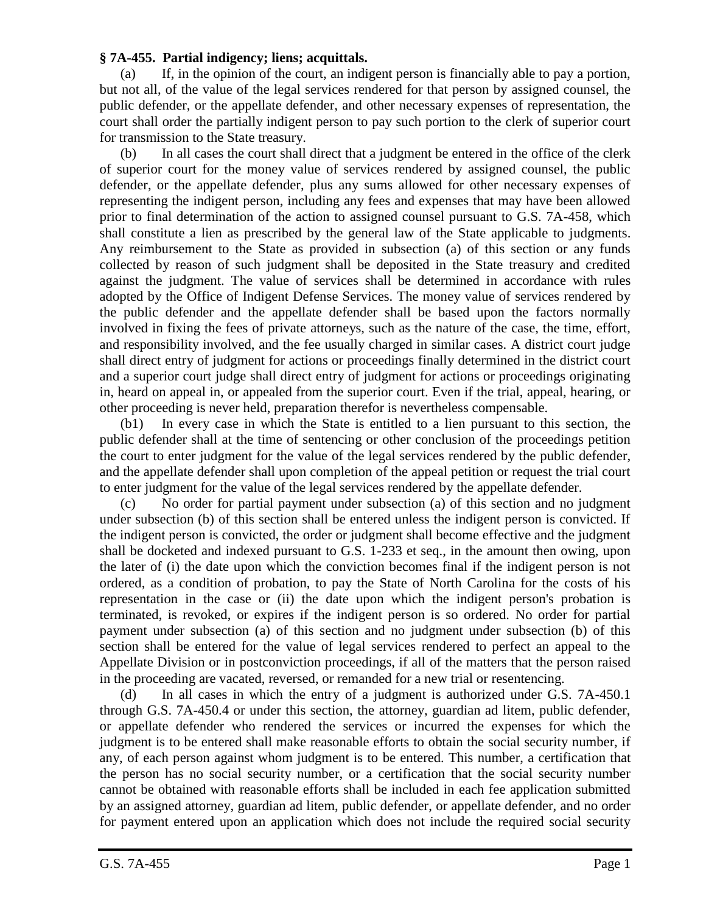## **§ 7A-455. Partial indigency; liens; acquittals.**

(a) If, in the opinion of the court, an indigent person is financially able to pay a portion, but not all, of the value of the legal services rendered for that person by assigned counsel, the public defender, or the appellate defender, and other necessary expenses of representation, the court shall order the partially indigent person to pay such portion to the clerk of superior court for transmission to the State treasury.

(b) In all cases the court shall direct that a judgment be entered in the office of the clerk of superior court for the money value of services rendered by assigned counsel, the public defender, or the appellate defender, plus any sums allowed for other necessary expenses of representing the indigent person, including any fees and expenses that may have been allowed prior to final determination of the action to assigned counsel pursuant to G.S. 7A-458, which shall constitute a lien as prescribed by the general law of the State applicable to judgments. Any reimbursement to the State as provided in subsection (a) of this section or any funds collected by reason of such judgment shall be deposited in the State treasury and credited against the judgment. The value of services shall be determined in accordance with rules adopted by the Office of Indigent Defense Services. The money value of services rendered by the public defender and the appellate defender shall be based upon the factors normally involved in fixing the fees of private attorneys, such as the nature of the case, the time, effort, and responsibility involved, and the fee usually charged in similar cases. A district court judge shall direct entry of judgment for actions or proceedings finally determined in the district court and a superior court judge shall direct entry of judgment for actions or proceedings originating in, heard on appeal in, or appealed from the superior court. Even if the trial, appeal, hearing, or other proceeding is never held, preparation therefor is nevertheless compensable.

(b1) In every case in which the State is entitled to a lien pursuant to this section, the public defender shall at the time of sentencing or other conclusion of the proceedings petition the court to enter judgment for the value of the legal services rendered by the public defender, and the appellate defender shall upon completion of the appeal petition or request the trial court to enter judgment for the value of the legal services rendered by the appellate defender.

(c) No order for partial payment under subsection (a) of this section and no judgment under subsection (b) of this section shall be entered unless the indigent person is convicted. If the indigent person is convicted, the order or judgment shall become effective and the judgment shall be docketed and indexed pursuant to G.S. 1-233 et seq., in the amount then owing, upon the later of (i) the date upon which the conviction becomes final if the indigent person is not ordered, as a condition of probation, to pay the State of North Carolina for the costs of his representation in the case or (ii) the date upon which the indigent person's probation is terminated, is revoked, or expires if the indigent person is so ordered. No order for partial payment under subsection (a) of this section and no judgment under subsection (b) of this section shall be entered for the value of legal services rendered to perfect an appeal to the Appellate Division or in postconviction proceedings, if all of the matters that the person raised in the proceeding are vacated, reversed, or remanded for a new trial or resentencing.

(d) In all cases in which the entry of a judgment is authorized under G.S. 7A-450.1 through G.S. 7A-450.4 or under this section, the attorney, guardian ad litem, public defender, or appellate defender who rendered the services or incurred the expenses for which the judgment is to be entered shall make reasonable efforts to obtain the social security number, if any, of each person against whom judgment is to be entered. This number, a certification that the person has no social security number, or a certification that the social security number cannot be obtained with reasonable efforts shall be included in each fee application submitted by an assigned attorney, guardian ad litem, public defender, or appellate defender, and no order for payment entered upon an application which does not include the required social security